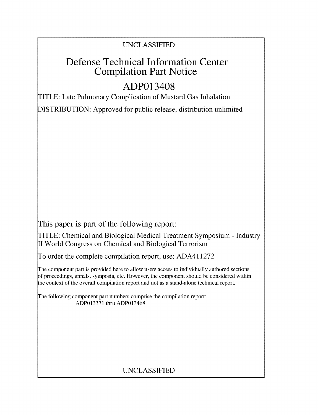### UNCLASSIFIED

## Defense Technical Information Center Compilation Part Notice

# ADP013408

TITLE: Late Pulmonary Complication of Mustard Gas Inhalation

DISTRIBUTION: Approved for public release, distribution unlimited

This paper is part of the following report:

TITLE: Chemical and Biological Medical Treatment Symposium - Industry II World Congress on Chemical and Biological Terrorism

To order the complete compilation report, use: ADA411272

The component part is provided here to allow users access to individually authored sections f proceedings, annals, symposia, etc. However, the component should be considered within the context of the overall compilation report and not as a stand-alone technical report.

The following component part numbers comprise the compilation report: ADP013371 thru ADP013468

## UNCLASSIFIED